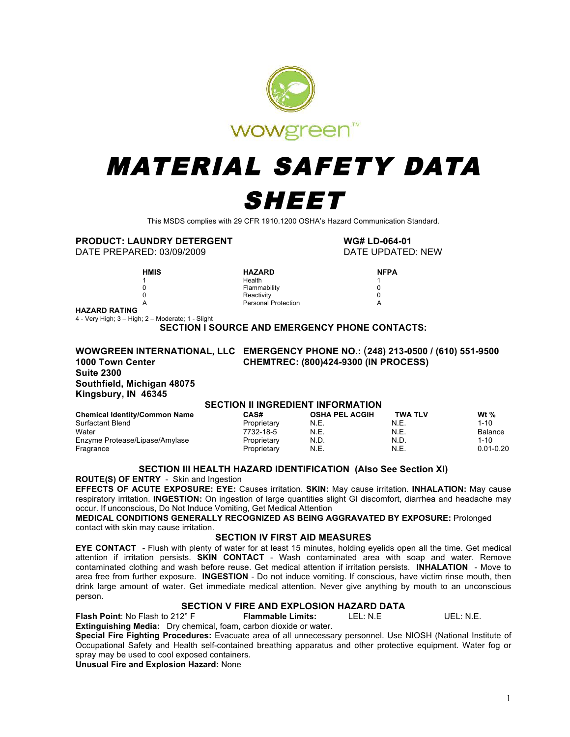

# MATERIAL SAFETY DATA SHEET

This MSDS complies with 29 CFR 1910.1200 OSHA's Hazard Communication Standard.

**PRODUCT: LAUNDRY DETERGENT WG# LD-064-01**

DATE PREPARED: 03/09/2009

**HMIS HAZARD NFPA NFPA 1 1 1 Health** 1 0 Flammability 0 0 Reactivity 0 A Personal Protection A

**HAZARD RATING**

4 - Very High; 3 – High; 2 – Moderate; 1 - Slight

**SECTION I SOURCE AND EMERGENCY PHONE CONTACTS:** 

#### **WOWGREEN INTERNATIONAL, LLC EMERGENCY PHONE NO.:** (**248) 213-0500 / (610) 551-9500 1000 Town Center CHEMTREC: (800)424-9300 (IN PROCESS) Suite 2300 Southfield, Michigan 48075 Kingsbury, IN 46345**

#### **SECTION II INGREDIENT INFORMATION**

| Chemical Identity/Common Name  | <b>CAS#</b> | <b>OSHA PEL ACGIH</b> | <b>TWA TLV</b> | Wt $%$         |
|--------------------------------|-------------|-----------------------|----------------|----------------|
| Surfactant Blend               | Proprietary | N.E.                  | N.E.           | $1 - 10$       |
| Water                          | 7732-18-5   | N.E.                  | N.E.           | <b>Balance</b> |
| Enzyme Protease/Lipase/Amylase | Proprietary | N.D.                  | N.D.           | $1 - 10$       |
| Fragrance                      | Proprietary | N.E.                  | N.E.           | $0.01 - 0.20$  |
|                                |             |                       |                |                |

#### **SECTION III HEALTH HAZARD IDENTIFICATION (Also See Section XI)**

**ROUTE(S) OF ENTRY** - Skin and Ingestion

**EFFECTS OF ACUTE EXPOSURE: EYE:** Causes irritation. **SKIN:** May cause irritation. **INHALATION:** May cause respiratory irritation. **INGESTION:** On ingestion of large quantities slight GI discomfort, diarrhea and headache may occur. If unconscious, Do Not Induce Vomiting, Get Medical Attention

**MEDICAL CONDITIONS GENERALLY RECOGNIZED AS BEING AGGRAVATED BY EXPOSURE:** Prolonged contact with skin may cause irritation.

#### **SECTION IV FIRST AID MEASURES**

**EYE CONTACT -** Flush with plenty of water for at least 15 minutes, holding eyelids open all the time. Get medical attention if irritation persists. **SKIN CONTACT** - Wash contaminated area with soap and water. Remove contaminated clothing and wash before reuse. Get medical attention if irritation persists. **INHALATION** - Move to area free from further exposure. **INGESTION** - Do not induce vomiting. If conscious, have victim rinse mouth, then drink large amount of water. Get immediate medical attention. Never give anything by mouth to an unconscious person.

#### **SECTION V FIRE AND EXPLOSION HAZARD DATA**

**Flash Point**: No Flash to 212° F **Flammable Limits:** LEL: N.E UEL: N.E. **Extinguishing Media:** Dry chemical, foam, carbon dioxide or water.

**Special Fire Fighting Procedures:** Evacuate area of all unnecessary personnel. Use NIOSH (National Institute of Occupational Safety and Health self-contained breathing apparatus and other protective equipment. Water fog or spray may be used to cool exposed containers.

**Unusual Fire and Explosion Hazard:** None